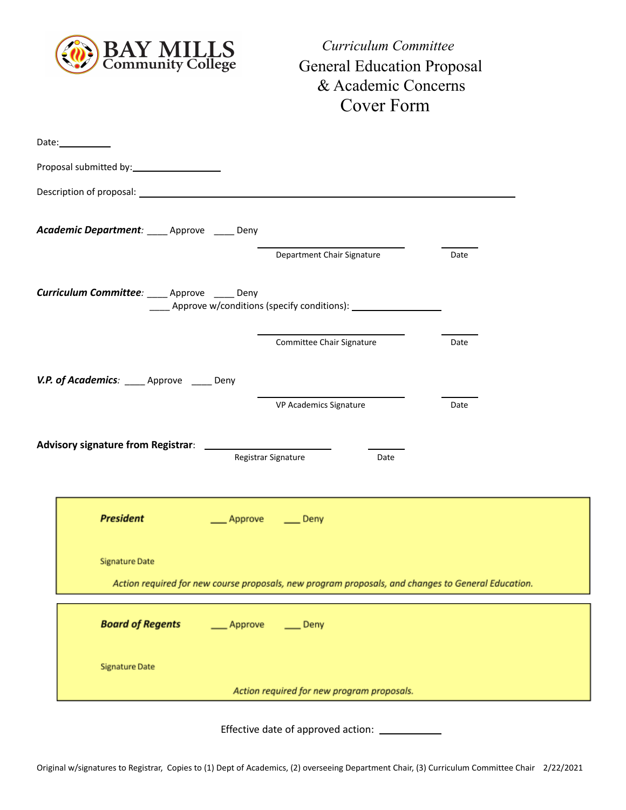

*Curriculum Committee* General Education Proposal & Academic Concerns Cover Form

| Date: $\_\_$                                                                                                                |                                                                                  |      |
|-----------------------------------------------------------------------------------------------------------------------------|----------------------------------------------------------------------------------|------|
|                                                                                                                             |                                                                                  |      |
|                                                                                                                             |                                                                                  |      |
| Academic Department: ____ Approve ____ Deny                                                                                 |                                                                                  |      |
|                                                                                                                             | Department Chair Signature                                                       | Date |
| Curriculum Committee: ____ Approve ____ Deny                                                                                | _____ Approve w/conditions (specify conditions): _______________________________ |      |
|                                                                                                                             | Committee Chair Signature                                                        | Date |
| V.P. of Academics: ____ Approve ____ Deny                                                                                   |                                                                                  |      |
|                                                                                                                             | VP Academics Signature                                                           | Date |
|                                                                                                                             | Registrar Signature<br>Date                                                      |      |
| <b>President</b><br>Approve                                                                                                 | $\rule{1em}{0.15mm}$ Deny                                                        |      |
| <b>Signature Date</b><br>Action required for new course proposals, new program proposals, and changes to General Education. |                                                                                  |      |
| <b>Board of Regents</b><br>Approve                                                                                          | $\rule{1em}{0.15mm}$ Deny                                                        |      |
| <b>Signature Date</b>                                                                                                       |                                                                                  |      |
|                                                                                                                             | Action required for new program proposals.                                       |      |

Effective date of approved action: